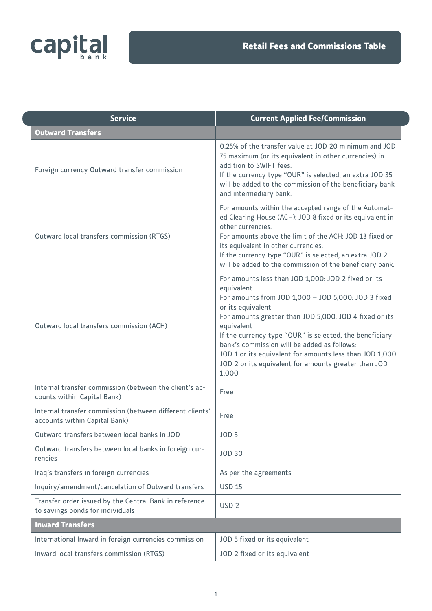

| <b>Service</b>                                                                             | <b>Current Applied Fee/Commission</b>                                                                                                                                                                                                                                                                                                                                                                                                                       |
|--------------------------------------------------------------------------------------------|-------------------------------------------------------------------------------------------------------------------------------------------------------------------------------------------------------------------------------------------------------------------------------------------------------------------------------------------------------------------------------------------------------------------------------------------------------------|
| <b>Outward Transfers</b>                                                                   |                                                                                                                                                                                                                                                                                                                                                                                                                                                             |
| Foreign currency Outward transfer commission                                               | 0.25% of the transfer value at JOD 20 minimum and JOD<br>75 maximum (or its equivalent in other currencies) in<br>addition to SWIFT fees.<br>If the currency type "OUR" is selected, an extra JOD 35<br>will be added to the commission of the beneficiary bank<br>and intermediary bank.                                                                                                                                                                   |
| Outward local transfers commission (RTGS)                                                  | For amounts within the accepted range of the Automat-<br>ed Clearing House (ACH): JOD 8 fixed or its equivalent in<br>other currencies.<br>For amounts above the limit of the ACH: JOD 13 fixed or<br>its equivalent in other currencies.<br>If the currency type "OUR" is selected, an extra JOD 2<br>will be added to the commission of the beneficiary bank.                                                                                             |
| Outward local transfers commission (ACH)                                                   | For amounts less than JOD 1,000: JOD 2 fixed or its<br>equivalent<br>For amounts from JOD 1,000 - JOD 5,000: JOD 3 fixed<br>or its equivalent<br>For amounts greater than JOD 5,000: JOD 4 fixed or its<br>equivalent<br>If the currency type "OUR" is selected, the beneficiary<br>bank's commission will be added as follows:<br>JOD 1 or its equivalent for amounts less than JOD 1,000<br>JOD 2 or its equivalent for amounts greater than JOD<br>1,000 |
| Internal transfer commission (between the client's ac-<br>counts within Capital Bank)      | Free                                                                                                                                                                                                                                                                                                                                                                                                                                                        |
| Internal transfer commission (between different clients'<br>accounts within Capital Bank)  | Free                                                                                                                                                                                                                                                                                                                                                                                                                                                        |
| Outward transfers between local banks in JOD                                               | JOD <sub>5</sub>                                                                                                                                                                                                                                                                                                                                                                                                                                            |
| Outward transfers between local banks in foreign cur-<br>rencies                           | <b>JOD 30</b>                                                                                                                                                                                                                                                                                                                                                                                                                                               |
| Iraq's transfers in foreign currencies                                                     | As per the agreements                                                                                                                                                                                                                                                                                                                                                                                                                                       |
| Inquiry/amendment/cancelation of Outward transfers                                         | <b>USD 15</b>                                                                                                                                                                                                                                                                                                                                                                                                                                               |
| Transfer order issued by the Central Bank in reference<br>to savings bonds for individuals | USD <sub>2</sub>                                                                                                                                                                                                                                                                                                                                                                                                                                            |
| <b>Inward Transfers</b>                                                                    |                                                                                                                                                                                                                                                                                                                                                                                                                                                             |
| International Inward in foreign currencies commission                                      | JOD 5 fixed or its equivalent                                                                                                                                                                                                                                                                                                                                                                                                                               |
| Inward local transfers commission (RTGS)                                                   | JOD 2 fixed or its equivalent                                                                                                                                                                                                                                                                                                                                                                                                                               |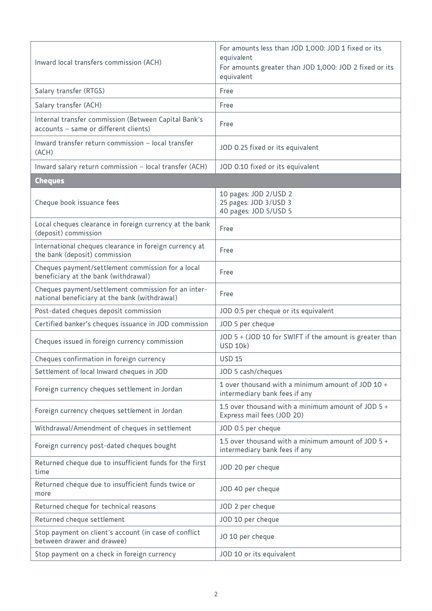| Inward local transfers commission (ACH)                                                              | For amounts less than JOD 1,000: JOD 1 fixed or its<br>equivalent<br>For amounts greater than JOD 1,000: JOD 2 fixed or its<br>equivalent |
|------------------------------------------------------------------------------------------------------|-------------------------------------------------------------------------------------------------------------------------------------------|
| Salary transfer (RTGS)                                                                               | Free                                                                                                                                      |
| Salary transfer (ACH)                                                                                | Free                                                                                                                                      |
| Internal transfer commission (Between Capital Bank's<br>accounts - same or different clients)        | Free                                                                                                                                      |
| Inward transfer return commission - local transfer<br>(ACH)                                          | JOD 0.25 fixed or its equivalent                                                                                                          |
| Inward salary return commission - local transfer (ACH)                                               | JOD 0.10 fixed or its equivalent                                                                                                          |
| <b>Cheques</b>                                                                                       |                                                                                                                                           |
| Cheque book issuance fees                                                                            | 10 pages: JOD 2/USD 2<br>25 pages: JOD 3/USD 3<br>40 pages: JOD 5/USD 5                                                                   |
| Local cheques clearance in foreign currency at the bank<br>(deposit) commission                      | Free                                                                                                                                      |
| International cheques clearance in foreign currency at<br>the bank (deposit) commission              | Free                                                                                                                                      |
| Cheques payment/settlement commission for a local<br>beneficiary at the bank (withdrawal)            | Free                                                                                                                                      |
| Cheques payment/settlement commission for an inter-<br>national beneficiary at the bank (withdrawal) | Free                                                                                                                                      |
| Post-dated cheques deposit commission                                                                | JOD 0.5 per cheque or its equivalent                                                                                                      |
| Certified banker's cheques issuance in JOD commission                                                | JOD 5 per cheque                                                                                                                          |
| Cheques issued in foreign currency commission                                                        | JOD 5 + (JOD 10 for SWIFT if the amount is greater than<br><b>USD 10k)</b>                                                                |
| Cheques confirmation in foreign currency                                                             | <b>USD 15</b>                                                                                                                             |
| Settlement of local Inward cheques in JOD                                                            | JOD 5 cash/cheques                                                                                                                        |
| Foreign currency cheques settlement in Jordan                                                        | 1 over thousand with a minimum amount of JOD 10 +<br>intermediary bank fees if any                                                        |
| Foreign currency cheques settlement in Jordan                                                        | 1.5 over thousand with a minimum amount of JOD $5 +$<br>Express mail fees (JOD 20)                                                        |
| Withdrawal/Amendment of cheques in settlement                                                        | JOD 0.5 per cheque                                                                                                                        |
| Foreign currency post-dated cheques bought                                                           | 1.5 over thousand with a minimum amount of JOD $5 +$<br>intermediary bank fees if any                                                     |
| Returned cheque due to insufficient funds for the first<br>time                                      | JOD 20 per cheque                                                                                                                         |
| Returned cheque due to insufficient funds twice or<br>more                                           | JOD 40 per cheque                                                                                                                         |
| Returned cheque for technical reasons                                                                | JOD 2 per cheque                                                                                                                          |
| Returned cheque settlement                                                                           | JOD 10 per cheque                                                                                                                         |
| Stop payment on client's account (in case of conflict<br>between drawer and drawee)                  | JO 10 per cheque                                                                                                                          |
| Stop payment on a check in foreign currency                                                          | JOD 10 or its equivalent                                                                                                                  |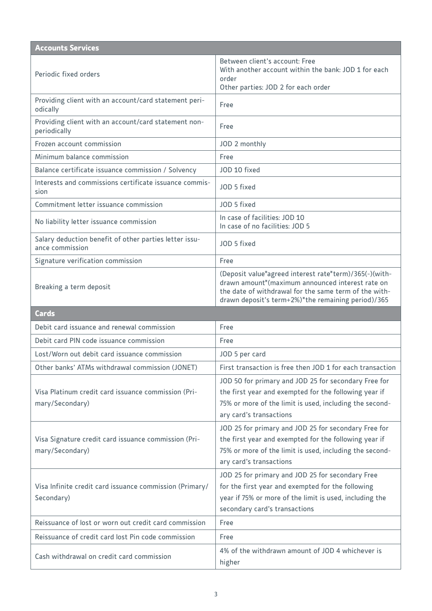| <b>Accounts Services</b>                                                  |                                                                                                                                                                                                                           |
|---------------------------------------------------------------------------|---------------------------------------------------------------------------------------------------------------------------------------------------------------------------------------------------------------------------|
| Periodic fixed orders                                                     | Between client's account: Free<br>With another account within the bank: JOD 1 for each<br>order<br>Other parties: JOD 2 for each order                                                                                    |
| Providing client with an account/card statement peri-<br>odically         | Free                                                                                                                                                                                                                      |
| Providing client with an account/card statement non-<br>periodically      | Free                                                                                                                                                                                                                      |
| Frozen account commission                                                 | JOD 2 monthly                                                                                                                                                                                                             |
| Minimum balance commission                                                | Free                                                                                                                                                                                                                      |
| Balance certificate issuance commission / Solvency                        | JOD 10 fixed                                                                                                                                                                                                              |
| Interests and commissions certificate issuance commis-<br>sion            | JOD 5 fixed                                                                                                                                                                                                               |
| Commitment letter issuance commission                                     | JOD 5 fixed                                                                                                                                                                                                               |
| No liability letter issuance commission                                   | In case of facilities: JOD 10<br>In case of no facilities: JOD 5                                                                                                                                                          |
| Salary deduction benefit of other parties letter issu-<br>ance commission | JOD 5 fixed                                                                                                                                                                                                               |
| Signature verification commission                                         | Free                                                                                                                                                                                                                      |
| Breaking a term deposit                                                   | (Deposit value*agreed interest rate*term)/365(-)(with-<br>drawn amount*(maximum announced interest rate on<br>the date of withdrawal for the same term of the with-<br>drawn deposit's term+2%)*the remaining period)/365 |
|                                                                           |                                                                                                                                                                                                                           |
| <b>Cards</b>                                                              |                                                                                                                                                                                                                           |
| Debit card issuance and renewal commission                                | Free                                                                                                                                                                                                                      |
| Debit card PIN code issuance commission                                   | Free                                                                                                                                                                                                                      |
| Lost/Worn out debit card issuance commission                              | JOD 5 per card                                                                                                                                                                                                            |
| Other banks' ATMs withdrawal commission (JONET)                           | First transaction is free then JOD 1 for each transaction                                                                                                                                                                 |
| Visa Platinum credit card issuance commission (Pri-<br>mary/Secondary)    | JOD 50 for primary and JOD 25 for secondary Free for<br>the first year and exempted for the following year if<br>75% or more of the limit is used, including the second-<br>ary card's transactions                       |
| Visa Signature credit card issuance commission (Pri-<br>mary/Secondary)   | JOD 25 for primary and JOD 25 for secondary Free for<br>the first year and exempted for the following year if<br>75% or more of the limit is used, including the second-<br>ary card's transactions                       |
| Visa Infinite credit card issuance commission (Primary/<br>Secondary)     | JOD 25 for primary and JOD 25 for secondary Free<br>for the first year and exempted for the following<br>year if 75% or more of the limit is used, including the<br>secondary card's transactions                         |
| Reissuance of lost or worn out credit card commission                     | Free                                                                                                                                                                                                                      |
| Reissuance of credit card lost Pin code commission                        | Free                                                                                                                                                                                                                      |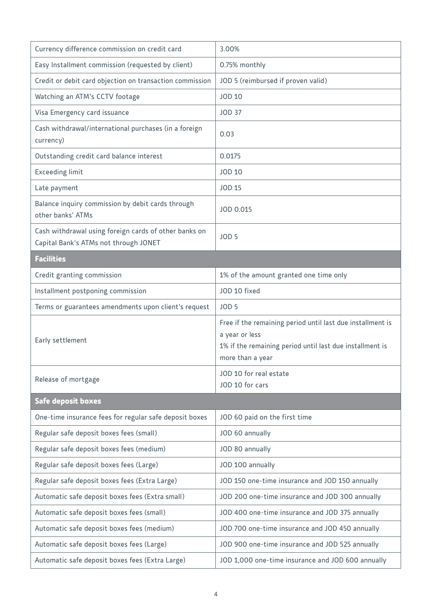| Currency difference commission on credit card                                                  | 3.00%                                                                                                                                                        |  |
|------------------------------------------------------------------------------------------------|--------------------------------------------------------------------------------------------------------------------------------------------------------------|--|
| Easy Installment commission (requested by client)                                              | 0.75% monthly                                                                                                                                                |  |
| Credit or debit card objection on transaction commission                                       | JOD 5 (reimbursed if proven valid)                                                                                                                           |  |
| Watching an ATM's CCTV footage                                                                 | <b>JOD 10</b>                                                                                                                                                |  |
| Visa Emergency card issuance                                                                   | <b>JOD 37</b>                                                                                                                                                |  |
| Cash withdrawal/international purchases (in a foreign<br>currency)                             | 0.03                                                                                                                                                         |  |
| Outstanding credit card balance interest                                                       | 0.0175                                                                                                                                                       |  |
| <b>Exceeding limit</b>                                                                         | <b>JOD 10</b>                                                                                                                                                |  |
| Late payment                                                                                   | <b>JOD 15</b>                                                                                                                                                |  |
| Balance inquiry commission by debit cards through<br>other banks' ATMs                         | JOD 0.015                                                                                                                                                    |  |
| Cash withdrawal using foreign cards of other banks on<br>Capital Bank's ATMs not through JONET | JOD <sub>5</sub>                                                                                                                                             |  |
| <b>Facilities</b>                                                                              |                                                                                                                                                              |  |
| Credit granting commission                                                                     | 1% of the amount granted one time only                                                                                                                       |  |
| Installment postponing commission                                                              | JOD 10 fixed                                                                                                                                                 |  |
| Terms or guarantees amendments upon client's request                                           | JOD <sub>5</sub>                                                                                                                                             |  |
| Early settlement                                                                               | Free if the remaining period until last due installment is<br>a year or less<br>1% if the remaining period until last due installment is<br>more than a year |  |
| Release of mortgage                                                                            | JOD 10 for real estate<br>JOD 10 for cars                                                                                                                    |  |
| <b>Safe deposit boxes</b>                                                                      |                                                                                                                                                              |  |
| One-time insurance fees for regular safe deposit boxes                                         | JOD 60 paid on the first time                                                                                                                                |  |
| Regular safe deposit boxes fees (small)                                                        | JOD 60 annually                                                                                                                                              |  |
| Regular safe deposit boxes fees (medium)                                                       | JOD 80 annually                                                                                                                                              |  |
| Regular safe deposit boxes fees (Large)                                                        | JOD 100 annually                                                                                                                                             |  |
| Regular safe deposit boxes fees (Extra Large)                                                  | JOD 150 one-time insurance and JOD 150 annually                                                                                                              |  |
| Automatic safe deposit boxes fees (Extra small)                                                | JOD 200 one-time insurance and JOD 300 annually                                                                                                              |  |
| Automatic safe deposit boxes fees (small)                                                      | JOD 400 one-time insurance and JOD 375 annually                                                                                                              |  |
| Automatic safe deposit boxes fees (medium)                                                     | JOD 700 one-time insurance and JOD 450 annually                                                                                                              |  |
| Automatic safe deposit boxes fees (Large)                                                      | JOD 900 one-time insurance and JOD 525 annually                                                                                                              |  |
| Automatic safe deposit boxes fees (Extra Large)                                                | JOD 1,000 one-time insurance and JOD 600 annually                                                                                                            |  |